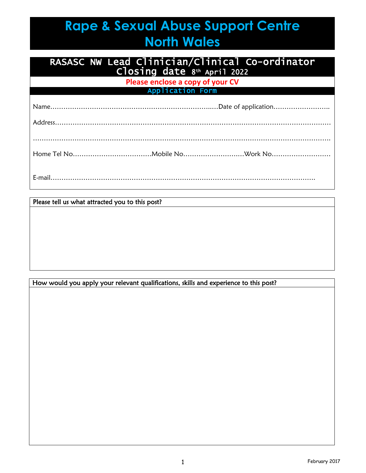# **Rape & Sexual Abuse Support Centre North Wales**

## RASASC NW Lead Clinician/Clinical Co-ordinator Closing date 8th April 2022

**Please enclose a copy of your CV** Application Form

Please tell us what attracted you to this post?

#### How would you apply your relevant qualifications, skills and experience to this post?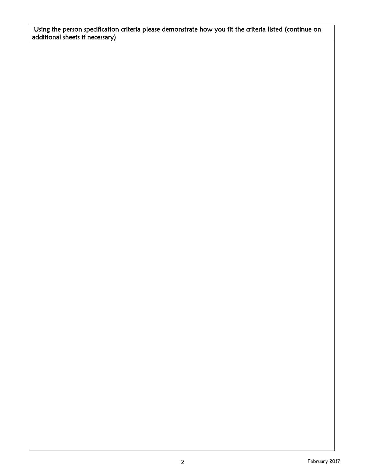Using the person specification criteria please demonstrate how you fit the criteria listed (continue on additional sheets if necessary)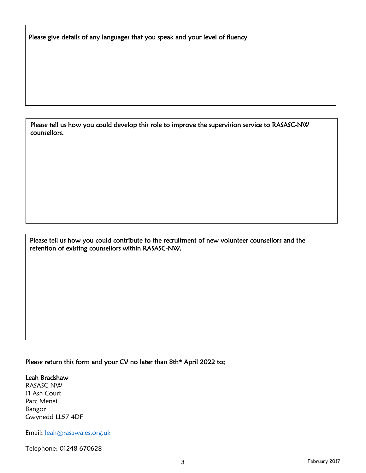Please give details of any languages that you speak and your level of fluency

Please tell us how you could develop this role to improve the supervision service to RASASC-NW counsellors.

j Please tell us how you could contribute to the recruitment of new volunteer counsellors and the retention of existing counsellors within RASASC-NW.

#### Please return this form and your CV no later than 8th<sup>th</sup> April 2022 to; Ï

## Leah Bradshaw

 $\overline{\phantom{a}}$ 

 $\overline{a}$ Ī

RASASC NW 11 Ash Court Parc Menai Bangor Gwynedd LL57 4DF ľ

Email; [leah@rasawales.org.uk](mailto:leah@rasawales.org.uk)  Ï

Telephone; 01248 670628 Ĭ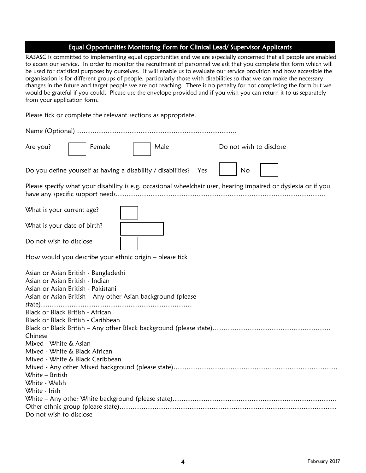# Equal Opportunities Monitoring Form for Clinical Lead/ Supervisor Applicants

| RASASC is committed to implementing equal opportunities and we are especially concerned that all people are enabled<br>to access our service. In order to monitor the recruitment of personnel we ask that you complete this form which will<br>be used for statistical purposes by ourselves. It will enable us to evaluate our service provision and how accessible the<br>organisation is for different groups of people, particularly those with disabilities so that we can make the necessary<br>changes in the future and target people we are not reaching. There is no penalty for not completing the form but we<br>would be grateful if you could. Please use the envelope provided and if you wish you can return it to us separately<br>from your application form. |  |  |  |
|----------------------------------------------------------------------------------------------------------------------------------------------------------------------------------------------------------------------------------------------------------------------------------------------------------------------------------------------------------------------------------------------------------------------------------------------------------------------------------------------------------------------------------------------------------------------------------------------------------------------------------------------------------------------------------------------------------------------------------------------------------------------------------|--|--|--|
| Please tick or complete the relevant sections as appropriate.                                                                                                                                                                                                                                                                                                                                                                                                                                                                                                                                                                                                                                                                                                                    |  |  |  |
|                                                                                                                                                                                                                                                                                                                                                                                                                                                                                                                                                                                                                                                                                                                                                                                  |  |  |  |
| Female<br>Male<br>Do not wish to disclose<br>Are you?                                                                                                                                                                                                                                                                                                                                                                                                                                                                                                                                                                                                                                                                                                                            |  |  |  |
| Do you define yourself as having a disability / disabilities? Yes<br>No                                                                                                                                                                                                                                                                                                                                                                                                                                                                                                                                                                                                                                                                                                          |  |  |  |
| Please specify what your disability is e.g. occasional wheelchair user, hearing impaired or dyslexia or if you                                                                                                                                                                                                                                                                                                                                                                                                                                                                                                                                                                                                                                                                   |  |  |  |
| What is your current age?                                                                                                                                                                                                                                                                                                                                                                                                                                                                                                                                                                                                                                                                                                                                                        |  |  |  |
| What is your date of birth?                                                                                                                                                                                                                                                                                                                                                                                                                                                                                                                                                                                                                                                                                                                                                      |  |  |  |
| Do not wish to disclose                                                                                                                                                                                                                                                                                                                                                                                                                                                                                                                                                                                                                                                                                                                                                          |  |  |  |
| How would you describe your ethnic origin - please tick                                                                                                                                                                                                                                                                                                                                                                                                                                                                                                                                                                                                                                                                                                                          |  |  |  |
| Asian or Asian British - Bangladeshi<br>Asian or Asian British - Indian<br>Asian or Asian British - Pakistani<br>Asian or Asian British - Any other Asian background (please                                                                                                                                                                                                                                                                                                                                                                                                                                                                                                                                                                                                     |  |  |  |
| Black or Black British - African<br>Black or Black British - Caribbean<br>Chinese                                                                                                                                                                                                                                                                                                                                                                                                                                                                                                                                                                                                                                                                                                |  |  |  |
| Mixed - White & Asian<br>Mixed - White & Black African<br>Mixed - White & Black Caribbean                                                                                                                                                                                                                                                                                                                                                                                                                                                                                                                                                                                                                                                                                        |  |  |  |
| White $-$ British<br>White - Welsh<br>White - Irish                                                                                                                                                                                                                                                                                                                                                                                                                                                                                                                                                                                                                                                                                                                              |  |  |  |
| Do not wish to disclose                                                                                                                                                                                                                                                                                                                                                                                                                                                                                                                                                                                                                                                                                                                                                          |  |  |  |